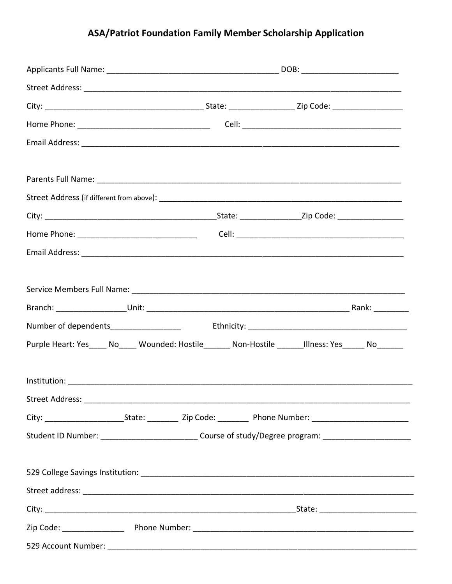## ASA/Patriot Foundation Family Member Scholarship Application

| Purple Heart: Yes_____ No_____ Wounded: Hostile_______ Non-Hostile _______Illness: Yes______ No______                |  |  |  |
|----------------------------------------------------------------------------------------------------------------------|--|--|--|
|                                                                                                                      |  |  |  |
|                                                                                                                      |  |  |  |
|                                                                                                                      |  |  |  |
| City: ___________________________State: _____________ Zip Code: ____________Phone Number: __________________________ |  |  |  |
| Student ID Number: _____________________________Course of study/Degree program: __________________________           |  |  |  |
|                                                                                                                      |  |  |  |
|                                                                                                                      |  |  |  |
|                                                                                                                      |  |  |  |
|                                                                                                                      |  |  |  |
|                                                                                                                      |  |  |  |
|                                                                                                                      |  |  |  |